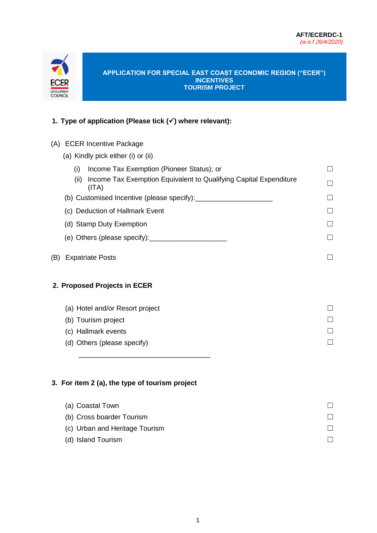

#### **APPLICATION FOR SPECIAL EAST COAST ECONOMIC REGION ("ECER") INCENTIVES TOURISM PROJECT**

### **1. Type of application (Please tick () where relevant):**

(A) ECER Incentive Package

(a) Kindly pick either (i) or (ii)

|     | (i)  | Income Tax Exemption (Pioneer Status); or                                  |  |
|-----|------|----------------------------------------------------------------------------|--|
|     | (ii) | Income Tax Exemption Equivalent to Qualifying Capital Expenditure<br>(ITA) |  |
|     |      |                                                                            |  |
|     |      | (c) Deduction of Hallmark Event                                            |  |
|     |      | (d) Stamp Duty Exemption                                                   |  |
|     |      |                                                                            |  |
| (B) |      | <b>Expatriate Posts</b>                                                    |  |
|     |      | 2. Proposed Projects in ECER                                               |  |
|     |      | (a) Hotel and/or Resort project                                            |  |
|     |      | (b) Tourism project                                                        |  |
|     |      | (c) Hallmark events                                                        |  |
|     |      | (d) Others (please specify)                                                |  |
|     |      |                                                                            |  |

### **3. For item 2 (a), the type of tourism project**

| (a) Coastal Town               |  |
|--------------------------------|--|
| (b) Cross boarder Tourism      |  |
| (c) Urban and Heritage Tourism |  |
| (d) Island Tourism             |  |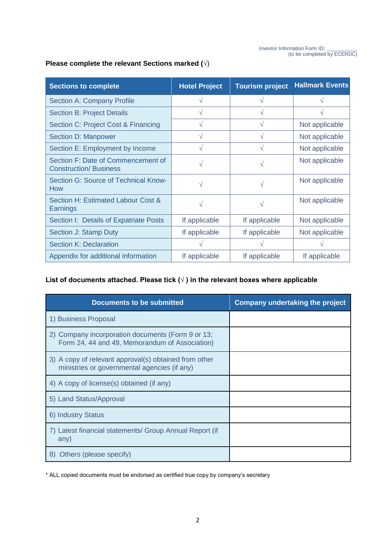# **Please complete the relevant Sections marked (**√)

| <b>Sections to complete</b>                                         | <b>Hotel Project</b> | <b>Tourism project</b> | <b>Hallmark Events</b> |
|---------------------------------------------------------------------|----------------------|------------------------|------------------------|
| <b>Section A: Company Profile</b>                                   |                      |                        |                        |
| <b>Section B: Project Details</b>                                   |                      |                        |                        |
| Section C: Project Cost & Financing                                 | $\sqrt{}$            | N                      | Not applicable         |
| Section D: Manpower                                                 |                      | N                      | Not applicable         |
| Section E: Employment by Income                                     | V                    | N                      | Not applicable         |
| Section F: Date of Commencement of<br><b>Construction/ Business</b> |                      | $\mathcal{N}$          | Not applicable         |
| Section G: Source of Technical Know-<br>How                         |                      | $\mathcal{N}$          | Not applicable         |
| Section H: Estimated Labour Cost &<br>Earnings                      |                      | $\mathcal{N}$          | Not applicable         |
| Section I: Details of Expatriate Posts                              | If applicable        | If applicable          | Not applicable         |
| Section J: Stamp Duty                                               | If applicable        | If applicable          | Not applicable         |
| <b>Section K: Declaration</b>                                       |                      |                        |                        |
| Appendix for additional information                                 | If applicable        | If applicable          | If applicable          |

## **List of documents attached. Please tick (√ ) in the relevant boxes where applicable**

| Documents to be submitted                                                                             | Company undertaking the project |
|-------------------------------------------------------------------------------------------------------|---------------------------------|
| 1) Business Proposal                                                                                  |                                 |
| 2) Company incorporation documents (Form 9 or 13;<br>Form 24, 44 and 49, Memorandum of Association)   |                                 |
| 3) A copy of relevant approval(s) obtained from other<br>ministries or governmental agencies (if any) |                                 |
| 4) A copy of license(s) obtained (if any)                                                             |                                 |
| 5) Land Status/Approval                                                                               |                                 |
| 6) Industry Status                                                                                    |                                 |
| 7) Latest financial statements/ Group Annual Report (if<br>any)                                       |                                 |
| 8) Others (please specify)                                                                            |                                 |

\* ALL copied documents must be endorsed as certified true copy by company's secretary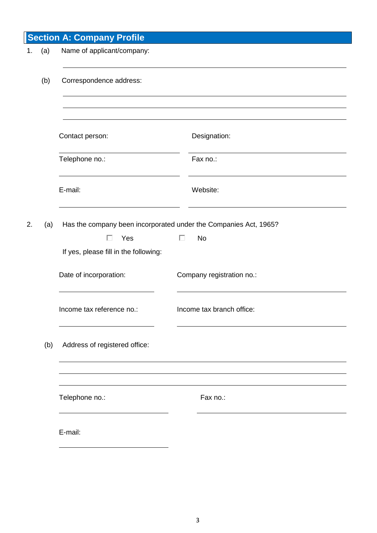|    | <b>Section A: Company Profile</b> |                                                                                                |                           |  |  |
|----|-----------------------------------|------------------------------------------------------------------------------------------------|---------------------------|--|--|
| 1. | (a)                               | Name of applicant/company:                                                                     |                           |  |  |
|    | (b)                               | Correspondence address:                                                                        |                           |  |  |
|    |                                   | Contact person:                                                                                | Designation:              |  |  |
|    |                                   | Telephone no.:                                                                                 | Fax no.:                  |  |  |
|    |                                   | E-mail:                                                                                        | Website:                  |  |  |
| 2. | (a)                               | Has the company been incorporated under the Companies Act, 1965?<br>П<br>П<br>Yes<br><b>No</b> |                           |  |  |
|    |                                   | If yes, please fill in the following:                                                          |                           |  |  |
|    |                                   | Date of incorporation:                                                                         | Company registration no.: |  |  |
|    |                                   | Income tax reference no.:                                                                      | Income tax branch office: |  |  |
|    | (b)                               | Address of registered office:                                                                  |                           |  |  |
|    |                                   | Telephone no.:                                                                                 | Fax no.:                  |  |  |
|    |                                   | E-mail:                                                                                        |                           |  |  |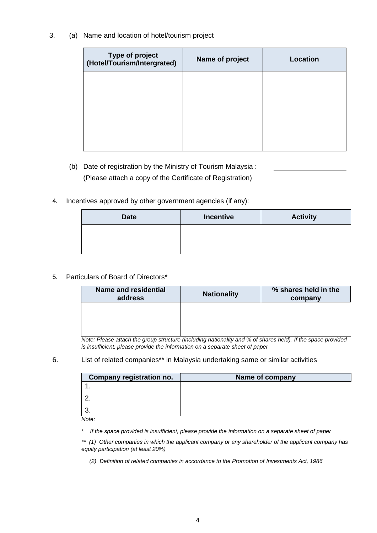3. (a) Name and location of hotel/tourism project

| Type of project<br>(Hotel/Tourism/Intergrated) | Name of project | <b>Location</b> |
|------------------------------------------------|-----------------|-----------------|
|                                                |                 |                 |
|                                                |                 |                 |
|                                                |                 |                 |
|                                                |                 |                 |

- (b) Date of registration by the Ministry of Tourism Malaysia : (Please attach a copy of the Certificate of Registration)
- 4. Incentives approved by other government agencies (if any):

| <b>Date</b> | <b>Incentive</b> | <b>Activity</b> |
|-------------|------------------|-----------------|
|             |                  |                 |
|             |                  |                 |

5. Particulars of Board of Directors\*

| <b>Nationality</b> | % shares held in the<br>company                                                                    |
|--------------------|----------------------------------------------------------------------------------------------------|
|                    |                                                                                                    |
|                    |                                                                                                    |
|                    | Mater Dieser etterkater mennestnistnier (mehrdhen method dien die Offenden keiten Mater en er eine |

*Note: Please attach the group structure (including nationality and % of shares held). If the space provided is insufficient, please provide the information on a separate sheet of paper*

6. List of related companies\*\* in Malaysia undertaking same or similar activities

| Company registration no. | Name of company |
|--------------------------|-----------------|
|                          |                 |
|                          |                 |
| $\sim$ $\sim$ $\sim$     |                 |

*Note:*

*\* If the space provided is insufficient, please provide the information on a separate sheet of paper*

*\*\* (1) Other companies in which the applicant company or any shareholder of the applicant company has equity participation (at least 20%)*

 *(2) Definition of related companies in accordance to the Promotion of Investments Act, 1986*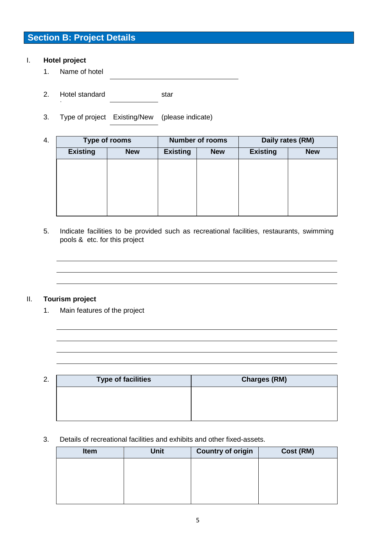## **Section B: Project Details**

### I. **Hotel project**

:

- 1. Name of hotel
- 2. Hotel standard star
- 3. Type of project Existing/New (please indicate)

4. **Type of rooms Number of rooms Daily rates (RM) Existing New Existing New Existing New** 

5. Indicate facilities to be provided such as recreational facilities, restaurants, swimming pools & etc. for this project

#### II. **Tourism project**

1. Main features of the project

| $\mathbf{2}$ | <b>Type of facilities</b> | <b>Charges (RM)</b> |
|--------------|---------------------------|---------------------|
|              |                           |                     |
|              |                           |                     |
|              |                           |                     |

3. Details of recreational facilities and exhibits and other fixed-assets.

| Item | Unit | <b>Country of origin</b> | Cost (RM) |
|------|------|--------------------------|-----------|
|      |      |                          |           |
|      |      |                          |           |
|      |      |                          |           |
|      |      |                          |           |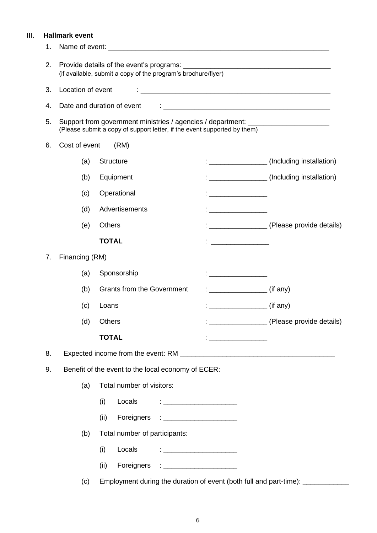### III. **Hallmark event**

| 1. |                                                                                                                                                              |                                                                                                                                                                                                                                                                                                                                                                            |                                                                                                                                                                                                                                                                                                                                                                                 |                                             |  |  |
|----|--------------------------------------------------------------------------------------------------------------------------------------------------------------|----------------------------------------------------------------------------------------------------------------------------------------------------------------------------------------------------------------------------------------------------------------------------------------------------------------------------------------------------------------------------|---------------------------------------------------------------------------------------------------------------------------------------------------------------------------------------------------------------------------------------------------------------------------------------------------------------------------------------------------------------------------------|---------------------------------------------|--|--|
| 2. | (if available, submit a copy of the program's brochure/flyer)                                                                                                |                                                                                                                                                                                                                                                                                                                                                                            |                                                                                                                                                                                                                                                                                                                                                                                 |                                             |  |  |
| 3. |                                                                                                                                                              | Location of event                                                                                                                                                                                                                                                                                                                                                          |                                                                                                                                                                                                                                                                                                                                                                                 |                                             |  |  |
| 4. |                                                                                                                                                              | Date and duration of event                                                                                                                                                                                                                                                                                                                                                 |                                                                                                                                                                                                                                                                                                                                                                                 |                                             |  |  |
| 5. | Support from government ministries / agencies / department: ____________________<br>(Please submit a copy of support letter, if the event supported by them) |                                                                                                                                                                                                                                                                                                                                                                            |                                                                                                                                                                                                                                                                                                                                                                                 |                                             |  |  |
| 6. | Cost of event                                                                                                                                                | (RM)                                                                                                                                                                                                                                                                                                                                                                       |                                                                                                                                                                                                                                                                                                                                                                                 |                                             |  |  |
|    | (a)                                                                                                                                                          | <b>Structure</b>                                                                                                                                                                                                                                                                                                                                                           |                                                                                                                                                                                                                                                                                                                                                                                 | : _________________(Including installation) |  |  |
|    | (b)                                                                                                                                                          | Equipment                                                                                                                                                                                                                                                                                                                                                                  |                                                                                                                                                                                                                                                                                                                                                                                 | : _________________(Including installation) |  |  |
|    | (c)                                                                                                                                                          | Operational                                                                                                                                                                                                                                                                                                                                                                |                                                                                                                                                                                                                                                                                                                                                                                 |                                             |  |  |
|    | (d)                                                                                                                                                          | Advertisements                                                                                                                                                                                                                                                                                                                                                             | <u> 1990 - Johann Barbara, martin a</u>                                                                                                                                                                                                                                                                                                                                         |                                             |  |  |
|    | (e)                                                                                                                                                          | <b>Others</b>                                                                                                                                                                                                                                                                                                                                                              |                                                                                                                                                                                                                                                                                                                                                                                 |                                             |  |  |
|    |                                                                                                                                                              | <b>TOTAL</b>                                                                                                                                                                                                                                                                                                                                                               | <u> 1989 - Andrea Albert III, martin alderd</u>                                                                                                                                                                                                                                                                                                                                 |                                             |  |  |
| 7. | Financing (RM)                                                                                                                                               |                                                                                                                                                                                                                                                                                                                                                                            |                                                                                                                                                                                                                                                                                                                                                                                 |                                             |  |  |
|    | (a)                                                                                                                                                          | Sponsorship                                                                                                                                                                                                                                                                                                                                                                |                                                                                                                                                                                                                                                                                                                                                                                 |                                             |  |  |
|    | (b)                                                                                                                                                          | <b>Grants from the Government</b>                                                                                                                                                                                                                                                                                                                                          | $\frac{1}{1}$ (if any)                                                                                                                                                                                                                                                                                                                                                          |                                             |  |  |
|    | (c)                                                                                                                                                          | Loans                                                                                                                                                                                                                                                                                                                                                                      | $\frac{1}{1}$ (if any)                                                                                                                                                                                                                                                                                                                                                          |                                             |  |  |
|    | (d)                                                                                                                                                          | <b>Others</b>                                                                                                                                                                                                                                                                                                                                                              |                                                                                                                                                                                                                                                                                                                                                                                 | (Please provide details)                    |  |  |
|    |                                                                                                                                                              | <b>TOTAL</b>                                                                                                                                                                                                                                                                                                                                                               | <u> 1989 - John Stein, Amerikaansk politiker (</u>                                                                                                                                                                                                                                                                                                                              |                                             |  |  |
| 8. |                                                                                                                                                              |                                                                                                                                                                                                                                                                                                                                                                            |                                                                                                                                                                                                                                                                                                                                                                                 |                                             |  |  |
| 9. |                                                                                                                                                              | Benefit of the event to the local economy of ECER:                                                                                                                                                                                                                                                                                                                         |                                                                                                                                                                                                                                                                                                                                                                                 |                                             |  |  |
|    | (a)                                                                                                                                                          | Total number of visitors:                                                                                                                                                                                                                                                                                                                                                  |                                                                                                                                                                                                                                                                                                                                                                                 |                                             |  |  |
|    |                                                                                                                                                              | $\begin{picture}(25,10) \put(0,0){\vector(1,0){100}} \put(15,0){\vector(1,0){100}} \put(15,0){\vector(1,0){100}} \put(15,0){\vector(1,0){100}} \put(15,0){\vector(1,0){100}} \put(15,0){\vector(1,0){100}} \put(15,0){\vector(1,0){100}} \put(15,0){\vector(1,0){100}} \put(15,0){\vector(1,0){100}} \put(15,0){\vector(1,0){100}} \put(15,0){\vector(1,0){100}} \$<br>(i) |                                                                                                                                                                                                                                                                                                                                                                                 |                                             |  |  |
|    |                                                                                                                                                              | (ii)<br>Foreigners : ______________________                                                                                                                                                                                                                                                                                                                                |                                                                                                                                                                                                                                                                                                                                                                                 |                                             |  |  |
|    | (b)                                                                                                                                                          | Total number of participants:                                                                                                                                                                                                                                                                                                                                              |                                                                                                                                                                                                                                                                                                                                                                                 |                                             |  |  |
|    |                                                                                                                                                              | Locals<br>(i)                                                                                                                                                                                                                                                                                                                                                              | $\mathcal{L} = \frac{1}{\sqrt{2\pi}}\sum_{i=1}^{N} \frac{1}{\sqrt{2\pi}}\sum_{i=1}^{N} \frac{1}{\sqrt{2\pi}}\sum_{i=1}^{N} \frac{1}{\sqrt{2\pi}}\sum_{i=1}^{N} \frac{1}{\sqrt{2\pi}}\sum_{i=1}^{N} \frac{1}{\sqrt{2\pi}}\sum_{i=1}^{N} \frac{1}{\sqrt{2\pi}}\sum_{i=1}^{N} \frac{1}{\sqrt{2\pi}}\sum_{i=1}^{N} \frac{1}{\sqrt{2\pi}}\sum_{i=1}^{N} \frac{1}{\sqrt{2\pi}}\sum_{$ |                                             |  |  |
|    |                                                                                                                                                              | (ii)<br>Foreigners                                                                                                                                                                                                                                                                                                                                                         |                                                                                                                                                                                                                                                                                                                                                                                 |                                             |  |  |
|    | (c)                                                                                                                                                          | Employment during the duration of event (both full and part-time): _____________                                                                                                                                                                                                                                                                                           |                                                                                                                                                                                                                                                                                                                                                                                 |                                             |  |  |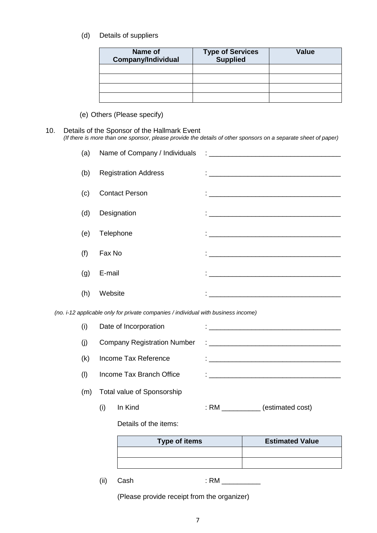(d) Details of suppliers

| Name of<br>Company/Individual | Type of Services<br>Supplied | Value |
|-------------------------------|------------------------------|-------|
|                               |                              |       |
|                               |                              |       |
|                               |                              |       |
|                               |                              |       |

- (e) Others (Please specify)
- 10. Details of the Sponsor of the Hallmark Event *(If there is more than one sponsor, please provide the details of other sponsors on a separate sheet of paper)*

|                                                                                    | <u> 1980 - Johann John Stone, mars eta biztanleria (h. 1980).</u>                                                                                                                                                                         |
|------------------------------------------------------------------------------------|-------------------------------------------------------------------------------------------------------------------------------------------------------------------------------------------------------------------------------------------|
| (no. i-12 applicable only for private companies / individual with business income) |                                                                                                                                                                                                                                           |
|                                                                                    | $\mathbf{1}_{\mathcal{A}}$ . The contract of the contract of the contract of the contract of the contract of the contract of the contract of the contract of the contract of the contract of the contract of the contract of the contract |
|                                                                                    | <u> 1980 - Jan Samuel Barbara, margaret eta idazlea (h. 1980).</u>                                                                                                                                                                        |
|                                                                                    |                                                                                                                                                                                                                                           |
|                                                                                    |                                                                                                                                                                                                                                           |
|                                                                                    |                                                                                                                                                                                                                                           |
|                                                                                    | : RM ___________ (estimated cost)                                                                                                                                                                                                         |
|                                                                                    |                                                                                                                                                                                                                                           |
| <b>Type of items</b>                                                               | <b>Estimated Value</b>                                                                                                                                                                                                                    |
|                                                                                    |                                                                                                                                                                                                                                           |

| <b>Estimated Value</b> |
|------------------------|
|                        |
|                        |
|                        |

(ii) Cash : RM \_\_\_\_\_\_\_\_\_\_

(Please provide receipt from the organizer)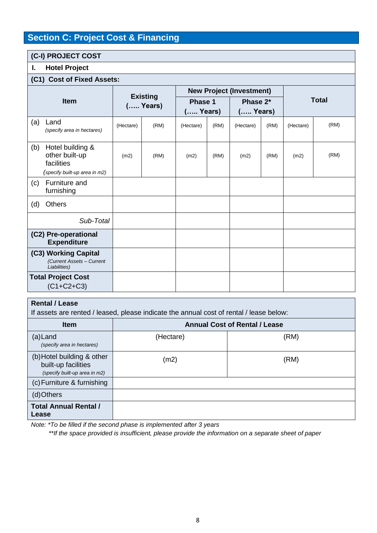# **Section C: Project Cost & Financing**

### **(C-I) PROJECT COST**

#### **I. Hotel Project**

#### **(C1) Cost of Fixed Assets:**

| Item |                                                                                   | <b>Existing</b><br>$($ Years) |      | <b>New Project (Investment)</b> |      |                      |      |              |      |
|------|-----------------------------------------------------------------------------------|-------------------------------|------|---------------------------------|------|----------------------|------|--------------|------|
|      |                                                                                   |                               |      | Phase 1<br>( Years)             |      | Phase 2*<br>( Years) |      | <b>Total</b> |      |
| (a)  | Land<br>(specify area in hectares)                                                | (Hectare)                     | (RM) | (Hectare)                       | (RM) | (Hectare)            | (RM) | (Hectare)    | (RM) |
| (b)  | Hotel building &<br>other built-up<br>facilities<br>(specify built-up area in m2) | (m2)                          | (RM) | (m2)                            | (RM) | (m2)                 | (RM) | (m2)         | (RM) |
| (c)  | Furniture and<br>furnishing                                                       |                               |      |                                 |      |                      |      |              |      |
| (d)  | <b>Others</b>                                                                     |                               |      |                                 |      |                      |      |              |      |
|      | Sub-Total                                                                         |                               |      |                                 |      |                      |      |              |      |
|      | (C2) Pre-operational<br><b>Expenditure</b>                                        |                               |      |                                 |      |                      |      |              |      |
|      | (C3) Working Capital<br>(Current Assets - Current<br>Liabilities)                 |                               |      |                                 |      |                      |      |              |      |
|      | <b>Total Project Cost</b><br>$(C1 + C2 + C3)$                                     |                               |      |                                 |      |                      |      |              |      |

| <b>Rental / Lease</b><br>If assets are rented / leased, please indicate the annual cost of rental / lease below: |           |                                      |  |  |  |  |  |
|------------------------------------------------------------------------------------------------------------------|-----------|--------------------------------------|--|--|--|--|--|
| <b>Item</b>                                                                                                      |           | <b>Annual Cost of Rental / Lease</b> |  |  |  |  |  |
| $(a)$ Land<br>(specify area in hectares)                                                                         | (Hectare) | (RM)                                 |  |  |  |  |  |
| (b) Hotel building & other<br>built-up facilities<br>(specify built-up area in m2)                               | (m2)      | (RM)                                 |  |  |  |  |  |
| (c) Furniture & furnishing                                                                                       |           |                                      |  |  |  |  |  |
| (d) Others                                                                                                       |           |                                      |  |  |  |  |  |
| <b>Total Annual Rental /</b><br>Lease                                                                            |           |                                      |  |  |  |  |  |

*Note: \*To be filled if the second phase is implemented after 3 years*

 *\*\*If the space provided is insufficient, please provide the information on a separate sheet of paper*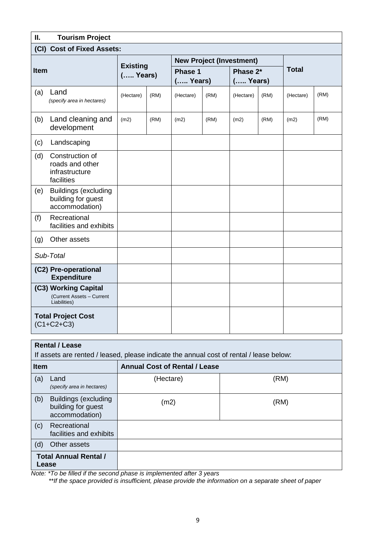| П.          | <b>Tourism Project</b>                                              |            |                                                                |                       |      |              |      |           |      |
|-------------|---------------------------------------------------------------------|------------|----------------------------------------------------------------|-----------------------|------|--------------|------|-----------|------|
|             | (CI) Cost of Fixed Assets:                                          |            |                                                                |                       |      |              |      |           |      |
| <b>Item</b> |                                                                     |            | <b>New Project (Investment)</b><br><b>Existing</b><br>Phase 2* |                       |      | <b>Total</b> |      |           |      |
|             |                                                                     | $($ Years) |                                                                | Phase 1<br>$($ Years) |      | $($ Years)   |      |           |      |
| (a)         | Land<br>(specify area in hectares)                                  | (Hectare)  | (RM)                                                           | (Hectare)             | (RM) | (Hectare)    | (RM) | (Hectare) | (RM) |
| (b)         | Land cleaning and<br>development                                    | (m2)       | (RM)                                                           | (m2)                  | (RM) | (m2)         | (RM) | (m2)      | (RM) |
| (c)         | Landscaping                                                         |            |                                                                |                       |      |              |      |           |      |
| (d)         | Construction of<br>roads and other<br>infrastructure<br>facilities  |            |                                                                |                       |      |              |      |           |      |
| (e)         | <b>Buildings (excluding</b><br>building for guest<br>accommodation) |            |                                                                |                       |      |              |      |           |      |
| (f)         | Recreational<br>facilities and exhibits                             |            |                                                                |                       |      |              |      |           |      |
| (g)         | Other assets                                                        |            |                                                                |                       |      |              |      |           |      |
|             | Sub-Total                                                           |            |                                                                |                       |      |              |      |           |      |
|             | (C2) Pre-operational<br><b>Expenditure</b>                          |            |                                                                |                       |      |              |      |           |      |
|             | (C3) Working Capital<br>(Current Assets - Current<br>Liabilities)   |            |                                                                |                       |      |              |      |           |      |
|             | <b>Total Project Cost</b><br>$(C1 + C2 + C3)$                       |            |                                                                |                       |      |              |      |           |      |

|                                              | <b>Rental / Lease</b>                                               |                                                                                         |      |  |  |  |  |
|----------------------------------------------|---------------------------------------------------------------------|-----------------------------------------------------------------------------------------|------|--|--|--|--|
|                                              |                                                                     | If assets are rented / leased, please indicate the annual cost of rental / lease below: |      |  |  |  |  |
| <b>Annual Cost of Rental / Lease</b><br>Item |                                                                     |                                                                                         |      |  |  |  |  |
| (a)                                          | Land<br>(specify area in hectares)                                  | (Hectare)                                                                               | (RM) |  |  |  |  |
| (b)                                          | <b>Buildings (excluding</b><br>building for guest<br>accommodation) | (m2)                                                                                    | (RM) |  |  |  |  |
| (c)                                          | Recreational<br>facilities and exhibits                             |                                                                                         |      |  |  |  |  |
| (d)                                          | Other assets                                                        |                                                                                         |      |  |  |  |  |
| Lease                                        | <b>Total Annual Rental /</b>                                        |                                                                                         |      |  |  |  |  |

*Note: \*To be filled if the second phase is implemented after 3 years*

 *\*\*If the space provided is insufficient, please provide the information on a separate sheet of paper*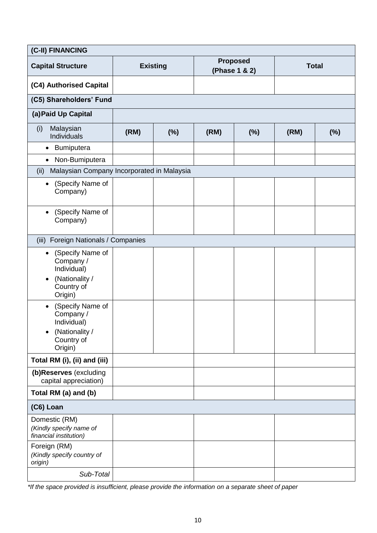| (C-II) FINANCING                                                                                                 |                 |     |      |                                  |              |        |
|------------------------------------------------------------------------------------------------------------------|-----------------|-----|------|----------------------------------|--------------|--------|
| <b>Capital Structure</b>                                                                                         | <b>Existing</b> |     |      | <b>Proposed</b><br>(Phase 1 & 2) | <b>Total</b> |        |
| (C4) Authorised Capital                                                                                          |                 |     |      |                                  |              |        |
| (C5) Shareholders' Fund                                                                                          |                 |     |      |                                  |              |        |
| (a) Paid Up Capital                                                                                              |                 |     |      |                                  |              |        |
| Malaysian<br>(i)<br>Individuals                                                                                  | (RM)            | (%) | (RM) | (%)                              | (RM)         | $(\%)$ |
| <b>Bumiputera</b><br>٠                                                                                           |                 |     |      |                                  |              |        |
| Non-Bumiputera<br>$\bullet$                                                                                      |                 |     |      |                                  |              |        |
| Malaysian Company Incorporated in Malaysia<br>(ii)                                                               |                 |     |      |                                  |              |        |
| (Specify Name of<br>$\bullet$<br>Company)                                                                        |                 |     |      |                                  |              |        |
| (Specify Name of<br>$\bullet$<br>Company)                                                                        |                 |     |      |                                  |              |        |
| (iii) Foreign Nationals / Companies                                                                              |                 |     |      |                                  |              |        |
| (Specify Name of<br>$\bullet$<br>Company/<br>Individual)<br>(Nationality /<br>$\bullet$<br>Country of<br>Origin) |                 |     |      |                                  |              |        |
| (Specify Name of<br>$\bullet$<br>Company/<br>Individual)<br>(Nationality /<br>$\bullet$<br>Country of<br>Origin) |                 |     |      |                                  |              |        |
| Total RM (i), (ii) and (iii)                                                                                     |                 |     |      |                                  |              |        |
| (b)Reserves (excluding<br>capital appreciation)                                                                  |                 |     |      |                                  |              |        |
| Total RM (a) and (b)                                                                                             |                 |     |      |                                  |              |        |
| (C6) Loan                                                                                                        |                 |     |      |                                  |              |        |
| Domestic (RM)<br>(Kindly specify name of<br>financial institution)                                               |                 |     |      |                                  |              |        |
| Foreign (RM)<br>(Kindly specify country of<br>origin)                                                            |                 |     |      |                                  |              |        |
| Sub-Total                                                                                                        |                 |     |      |                                  |              |        |

*\*If the space provided is insufficient, please provide the information on a separate sheet of paper*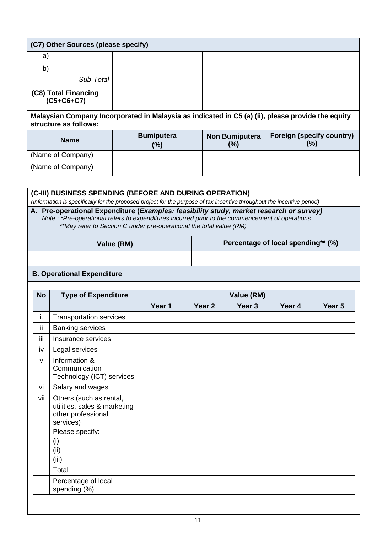| (C7) Other Sources (please specify)                                                                                        |  |  |  |  |  |  |
|----------------------------------------------------------------------------------------------------------------------------|--|--|--|--|--|--|
| a)                                                                                                                         |  |  |  |  |  |  |
| b)                                                                                                                         |  |  |  |  |  |  |
| Sub-Total                                                                                                                  |  |  |  |  |  |  |
| (C8) Total Financing<br>$(C5+C6+C7)$                                                                                       |  |  |  |  |  |  |
| Malaysian Company Incorporated in Malaysia as indicated in C5 (a) (ii), please provide the equity<br>structure as follows: |  |  |  |  |  |  |

| <b>Name</b>       | <b>Bumiputera</b><br>(%) | <b>Non Bumiputera</b><br>(%) | <b>Foreign (specify country)</b><br>(%) |
|-------------------|--------------------------|------------------------------|-----------------------------------------|
| (Name of Company) |                          |                              |                                         |
| (Name of Company) |                          |                              |                                         |

### **(C-III) BUSINESS SPENDING (BEFORE AND DURING OPERATION)**

*(Information is specifically for the proposed project for the purpose of tax incentive throughout the incentive period)*

**A. Pre-operational Expenditure (***Examples: feasibility study, market research or survey) Note : \*Pre-operational refers to expenditures incurred prior to the commencement of operations. \*\*May refer to Section C under pre-operational the total value (RM)*

| Value (RM) | Percentage of local spending** (%) |
|------------|------------------------------------|
|            |                                    |

#### **B. Operational Expenditure**

| <b>No</b>    | <b>Type of Expenditure</b>                                                                                                            | Value (RM) |        |                   |        |        |
|--------------|---------------------------------------------------------------------------------------------------------------------------------------|------------|--------|-------------------|--------|--------|
|              |                                                                                                                                       | Year 1     | Year 2 | Year <sub>3</sub> | Year 4 | Year 5 |
| i.           | <b>Transportation services</b>                                                                                                        |            |        |                   |        |        |
| ii           | <b>Banking services</b>                                                                                                               |            |        |                   |        |        |
| Ϊij          | Insurance services                                                                                                                    |            |        |                   |        |        |
| iv           | Legal services                                                                                                                        |            |        |                   |        |        |
| $\mathsf{v}$ | Information &<br>Communication<br>Technology (ICT) services                                                                           |            |        |                   |        |        |
| vi           | Salary and wages                                                                                                                      |            |        |                   |        |        |
| vii          | Others (such as rental,<br>utilities, sales & marketing<br>other professional<br>services)<br>Please specify:<br>(i)<br>(ii)<br>(iii) |            |        |                   |        |        |
|              | Total                                                                                                                                 |            |        |                   |        |        |
|              | Percentage of local<br>spending (%)                                                                                                   |            |        |                   |        |        |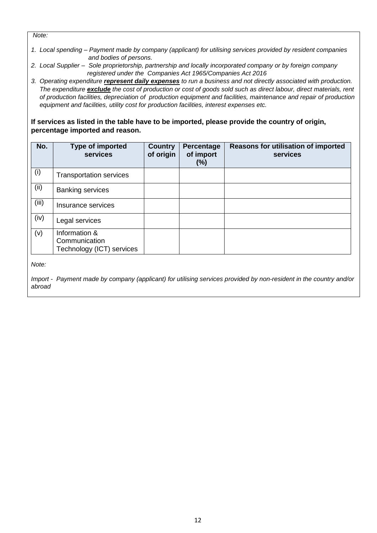*Note:*

- *1. Local spending – Payment made by company (applicant) for utilising services provided by resident companies and bodies of persons.*
- *2. Local Supplier Sole proprietorship, partnership and locally incorporated company or by foreign company registered under the Companies Act 1965/Companies Act 2016*
- *3. Operating expenditure represent daily expenses to run a business and not directly associated with production. The expenditure exclude the cost of production or cost of goods sold such as direct labour, direct materials, rent of production facilities, depreciation of production equipment and facilities, maintenance and repair of production equipment and facilities, utility cost for production facilities, interest expenses etc.*

### **If services as listed in the table have to be imported, please provide the country of origin, percentage imported and reason.**

| No.   | <b>Type of imported</b><br><b>services</b>                  | <b>Country</b><br>of origin | Percentage<br>of import<br>$(\%)$ | <b>Reasons for utilisation of imported</b><br>services |
|-------|-------------------------------------------------------------|-----------------------------|-----------------------------------|--------------------------------------------------------|
| (i)   | <b>Transportation services</b>                              |                             |                                   |                                                        |
| (ii)  | <b>Banking services</b>                                     |                             |                                   |                                                        |
| (iii) | Insurance services                                          |                             |                                   |                                                        |
| (iv)  | Legal services                                              |                             |                                   |                                                        |
| (v)   | Information &<br>Communication<br>Technology (ICT) services |                             |                                   |                                                        |

*Note:*

*Import - Payment made by company (applicant) for utilising services provided by non-resident in the country and/or abroad*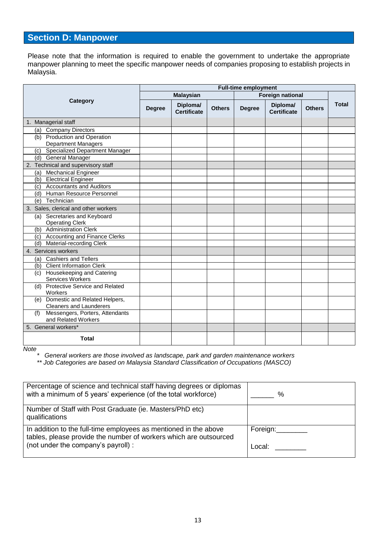## **Section D: Manpower**

Please note that the information is required to enable the government to undertake the appropriate manpower planning to meet the specific manpower needs of companies proposing to establish projects in Malaysia.

|                                                                     | <b>Full-time employment</b> |                                |               |                         |                                |               |              |
|---------------------------------------------------------------------|-----------------------------|--------------------------------|---------------|-------------------------|--------------------------------|---------------|--------------|
|                                                                     |                             | <b>Malaysian</b>               |               | <b>Foreign national</b> |                                |               |              |
| Category                                                            | <b>Degree</b>               | Diploma/<br><b>Certificate</b> | <b>Others</b> | <b>Degree</b>           | Diploma/<br><b>Certificate</b> | <b>Others</b> | <b>Total</b> |
| 1. Managerial staff                                                 |                             |                                |               |                         |                                |               |              |
| <b>Company Directors</b><br>(a)                                     |                             |                                |               |                         |                                |               |              |
| (b) Production and Operation<br><b>Department Managers</b>          |                             |                                |               |                         |                                |               |              |
| Specialized Department Manager<br>(c)                               |                             |                                |               |                         |                                |               |              |
| (d) General Manager                                                 |                             |                                |               |                         |                                |               |              |
| Technical and supervisory staff<br>2.                               |                             |                                |               |                         |                                |               |              |
| <b>Mechanical Engineer</b><br>(a)                                   |                             |                                |               |                         |                                |               |              |
| <b>Electrical Engineer</b><br>(b)                                   |                             |                                |               |                         |                                |               |              |
| (c) Accountants and Auditors                                        |                             |                                |               |                         |                                |               |              |
| Human Resource Personnel<br>(d)                                     |                             |                                |               |                         |                                |               |              |
| (e) Technician                                                      |                             |                                |               |                         |                                |               |              |
| Sales, clerical and other workers<br>3.                             |                             |                                |               |                         |                                |               |              |
| (a) Secretaries and Keyboard<br><b>Operating Clerk</b>              |                             |                                |               |                         |                                |               |              |
| (b) Administration Clerk                                            |                             |                                |               |                         |                                |               |              |
| (c) Accounting and Finance Clerks                                   |                             |                                |               |                         |                                |               |              |
| Material-recording Clerk<br>(d)                                     |                             |                                |               |                         |                                |               |              |
| 4. Services workers                                                 |                             |                                |               |                         |                                |               |              |
| <b>Cashiers and Tellers</b><br>(a)                                  |                             |                                |               |                         |                                |               |              |
| <b>Client Information Clerk</b><br>(b)                              |                             |                                |               |                         |                                |               |              |
| Housekeeping and Catering<br>(c)<br>Services Workers                |                             |                                |               |                         |                                |               |              |
| (d) Protective Service and Related<br>Workers                       |                             |                                |               |                         |                                |               |              |
| (e) Domestic and Related Helpers,<br><b>Cleaners and Launderers</b> |                             |                                |               |                         |                                |               |              |
| Messengers, Porters, Attendants<br>(f)<br>and Related Workers       |                             |                                |               |                         |                                |               |              |
| 5. General workers*                                                 |                             |                                |               |                         |                                |               |              |
| Total                                                               |                             |                                |               |                         |                                |               |              |

*Note*

*: \* General workers are those involved as landscape, park and garden maintenance workers*

*\*\* Job Categories are based on Malaysia Standard Classification of Occupations (MASCO)*

| Percentage of science and technical staff having degrees or diplomas<br>with a minimum of 5 years' experience (of the total workforce) | %        |
|----------------------------------------------------------------------------------------------------------------------------------------|----------|
| Number of Staff with Post Graduate (ie. Masters/PhD etc)<br>qualifications                                                             |          |
| In addition to the full-time employees as mentioned in the above<br>tables, please provide the number of workers which are outsourced  | Foreign: |
| (not under the company's payroll) :                                                                                                    | Local:   |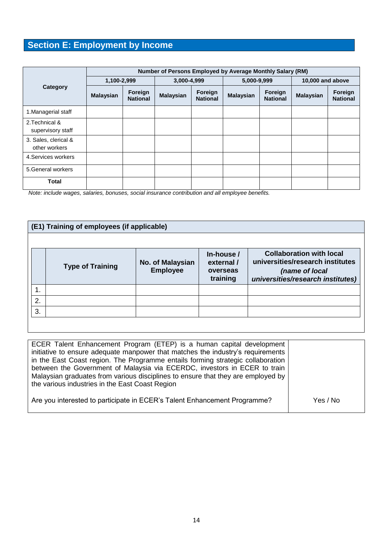# **Section E: Employment by Income**

|                                       | Number of Persons Employed by Average Monthly Salary (RM) |                            |                  |                            |                  |                            |                  |                            |  |
|---------------------------------------|-----------------------------------------------------------|----------------------------|------------------|----------------------------|------------------|----------------------------|------------------|----------------------------|--|
|                                       | 1,100-2,999                                               |                            | 3,000-4,999      |                            | 5,000-9,999      |                            | 10,000 and above |                            |  |
| Category                              | <b>Malaysian</b>                                          | Foreign<br><b>National</b> | <b>Malaysian</b> | Foreign<br><b>National</b> | <b>Malaysian</b> | Foreign<br><b>National</b> | <b>Malaysian</b> | Foreign<br><b>National</b> |  |
| 1. Managerial staff                   |                                                           |                            |                  |                            |                  |                            |                  |                            |  |
| 2. Technical &<br>supervisory staff   |                                                           |                            |                  |                            |                  |                            |                  |                            |  |
| 3. Sales, clerical &<br>other workers |                                                           |                            |                  |                            |                  |                            |                  |                            |  |
| 4. Services workers                   |                                                           |                            |                  |                            |                  |                            |                  |                            |  |
| 5. General workers                    |                                                           |                            |                  |                            |                  |                            |                  |                            |  |
| <b>Total</b>                          |                                                           |                            |                  |                            |                  |                            |                  |                            |  |

*Note: include wages, salaries, bonuses, social insurance contribution and all employee benefits.*

|    | (E1) Training of employees (if applicable) |                                     |                                                  |                                                                                                                            |  |  |  |  |  |  |
|----|--------------------------------------------|-------------------------------------|--------------------------------------------------|----------------------------------------------------------------------------------------------------------------------------|--|--|--|--|--|--|
|    |                                            |                                     |                                                  |                                                                                                                            |  |  |  |  |  |  |
|    | <b>Type of Training</b>                    | No. of Malaysian<br><b>Employee</b> | In-house /<br>external /<br>overseas<br>training | <b>Collaboration with local</b><br>universities/research institutes<br>(name of local<br>universities/research institutes) |  |  |  |  |  |  |
| 1. |                                            |                                     |                                                  |                                                                                                                            |  |  |  |  |  |  |
| 2. |                                            |                                     |                                                  |                                                                                                                            |  |  |  |  |  |  |
| 3. |                                            |                                     |                                                  |                                                                                                                            |  |  |  |  |  |  |
|    |                                            |                                     |                                                  |                                                                                                                            |  |  |  |  |  |  |

| ECER Talent Enhancement Program (ETEP) is a human capital development            |          |
|----------------------------------------------------------------------------------|----------|
| initiative to ensure adequate manpower that matches the industry's requirements  |          |
| in the East Coast region. The Programme entails forming strategic collaboration  |          |
| between the Government of Malaysia via ECERDC, investors in ECER to train        |          |
| Malaysian graduates from various disciplines to ensure that they are employed by |          |
| the various industries in the East Coast Region                                  |          |
|                                                                                  |          |
| Are you interested to participate in ECER's Talent Enhancement Programme?        | Yes / No |
|                                                                                  |          |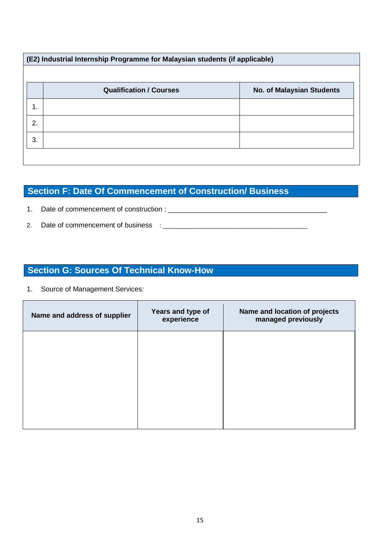|    | (E2) Industrial Internship Programme for Malaysian students (if applicable) |                                  |  |  |  |  |  |  |
|----|-----------------------------------------------------------------------------|----------------------------------|--|--|--|--|--|--|
|    |                                                                             |                                  |  |  |  |  |  |  |
|    | <b>Qualification / Courses</b>                                              | <b>No. of Malaysian Students</b> |  |  |  |  |  |  |
| 1. |                                                                             |                                  |  |  |  |  |  |  |
| 2. |                                                                             |                                  |  |  |  |  |  |  |
| 3. |                                                                             |                                  |  |  |  |  |  |  |
|    |                                                                             |                                  |  |  |  |  |  |  |

## **Section F: Date Of Commencement of Construction/ Business**

- 1. Date of commencement of construction : \_\_\_\_\_\_\_\_\_\_\_\_\_\_\_\_\_\_\_\_\_\_\_\_\_\_\_\_\_\_\_\_\_\_\_\_\_\_\_\_\_
- 2. Date of commencement of business :

# **Section G: Sources Of Technical Know-How**

1. Source of Management Services:

| Name and address of supplier | Years and type of<br>experience | Name and location of projects<br>managed previously |
|------------------------------|---------------------------------|-----------------------------------------------------|
|                              |                                 |                                                     |
|                              |                                 |                                                     |
|                              |                                 |                                                     |
|                              |                                 |                                                     |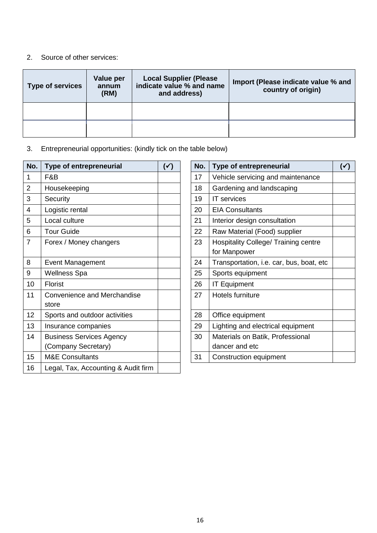### 2. Source of other services:

| Type of services | Value per<br>annum<br>(RM) | <b>Local Supplier (Please</b><br>indicate value % and name<br>and address) | Import (Please indicate value % and<br>country of origin) |
|------------------|----------------------------|----------------------------------------------------------------------------|-----------------------------------------------------------|
|                  |                            |                                                                            |                                                           |
|                  |                            |                                                                            |                                                           |

## 3. Entrepreneurial opportunities: (kindly tick on the table below)

| No.            | <b>Type of entrepreneurial</b>      | $(\checkmark)$ | No. | <b>Type of entrepreneurial</b>           |
|----------------|-------------------------------------|----------------|-----|------------------------------------------|
| 1              | F&B                                 |                | 17  | Vehicle servicing and maintenance        |
| $\overline{2}$ | Housekeeping                        |                | 18  | Gardening and landscaping                |
| 3              | Security                            |                | 19  | <b>IT</b> services                       |
| $\overline{4}$ | Logistic rental                     |                | 20  | <b>EIA Consultants</b>                   |
| 5              | Local culture                       |                | 21  | Interior design consultation             |
| 6              | <b>Tour Guide</b>                   |                | 22  | Raw Material (Food) supplier             |
| $\overline{7}$ | Forex / Money changers              |                | 23  | Hospitality College/ Training centre     |
|                |                                     |                |     | for Manpower                             |
| 8              | <b>Event Management</b>             |                | 24  | Transportation, i.e. car, bus, boat, etc |
| 9              | <b>Wellness Spa</b>                 |                | 25  | Sports equipment                         |
| 10             | <b>Florist</b>                      |                | 26  | <b>IT Equipment</b>                      |
| 11             | Convenience and Merchandise         |                | 27  | Hotels furniture                         |
|                | store                               |                |     |                                          |
| 12             | Sports and outdoor activities       |                | 28  | Office equipment                         |
| 13             | Insurance companies                 |                | 29  | Lighting and electrical equipment        |
| 14             | <b>Business Services Agency</b>     |                | 30  | Materials on Batik, Professional         |
|                | (Company Secretary)                 |                |     | dancer and etc                           |
| 15             | <b>M&amp;E Consultants</b>          |                | 31  | <b>Construction equipment</b>            |
| 16             | Legal, Tax, Accounting & Audit firm |                |     |                                          |

| No.                     | <b>Type of entrepreneurial</b>                         | $(\check{y})$ | No. | <b>Type of entrepreneurial</b>                       | $(\checkmark)$ |
|-------------------------|--------------------------------------------------------|---------------|-----|------------------------------------------------------|----------------|
| 1                       | F&B                                                    |               | 17  | Vehicle servicing and maintenance                    |                |
| $\overline{\mathbf{c}}$ | Housekeeping                                           |               | 18  | Gardening and landscaping                            |                |
| 3                       | Security                                               |               | 19  | <b>IT</b> services                                   |                |
| 4                       | Logistic rental                                        |               | 20  | <b>EIA Consultants</b>                               |                |
| 5                       | Local culture                                          |               | 21  | Interior design consultation                         |                |
| 6                       | <b>Tour Guide</b>                                      |               | 22  | Raw Material (Food) supplier                         |                |
| $\overline{7}$          | Forex / Money changers                                 |               | 23  | Hospitality College/ Training centre<br>for Manpower |                |
| 8                       | <b>Event Management</b>                                |               | 24  | Transportation, i.e. car, bus, boat, etc             |                |
| 9                       | <b>Wellness Spa</b>                                    |               | 25  | Sports equipment                                     |                |
| 10 <sup>1</sup>         | Florist                                                |               | 26  | <b>IT Equipment</b>                                  |                |
| 11                      | Convenience and Merchandise<br>store                   |               | 27  | Hotels furniture                                     |                |
| 12                      | Sports and outdoor activities                          |               | 28  | Office equipment                                     |                |
| 13                      | Insurance companies                                    |               | 29  | Lighting and electrical equipment                    |                |
| 14                      | <b>Business Services Agency</b><br>(Company Secretary) |               | 30  | Materials on Batik, Professional<br>dancer and etc   |                |
| 15                      | <b>M&amp;E Consultants</b>                             |               | 31  | Construction equipment                               |                |
|                         |                                                        |               |     |                                                      |                |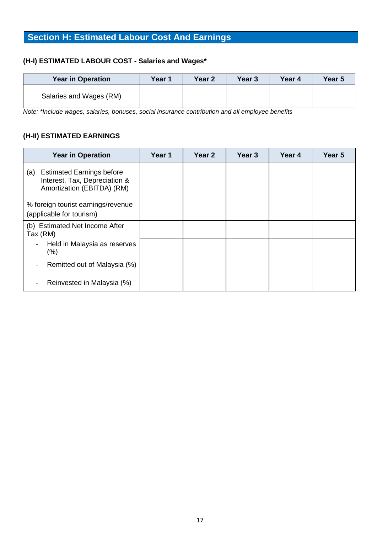# **Section H: Estimated Labour Cost And Earnings**

### **(H-I) ESTIMATED LABOUR COST - Salaries and Wages\***

| <b>Year in Operation</b> | Year 1 | Year 2 | Year <sub>3</sub> | Year 4 | Year 5 |
|--------------------------|--------|--------|-------------------|--------|--------|
| Salaries and Wages (RM)  |        |        |                   |        |        |

*Note: \*Include wages, salaries, bonuses, social insurance contribution and all employee benefits*

### **(H-II) ESTIMATED EARNINGS**

| <b>Year in Operation</b>                                                                               | Year 1 | Year 2 | Year <sub>3</sub> | Year <sub>4</sub> | Year 5 |
|--------------------------------------------------------------------------------------------------------|--------|--------|-------------------|-------------------|--------|
| <b>Estimated Earnings before</b><br>(a)<br>Interest, Tax, Depreciation &<br>Amortization (EBITDA) (RM) |        |        |                   |                   |        |
| % foreign tourist earnings/revenue<br>(applicable for tourism)                                         |        |        |                   |                   |        |
| (b) Estimated Net Income After<br>Tax (RM)                                                             |        |        |                   |                   |        |
| Held in Malaysia as reserves<br>(% )                                                                   |        |        |                   |                   |        |
| Remitted out of Malaysia (%)                                                                           |        |        |                   |                   |        |
| Reinvested in Malaysia (%)                                                                             |        |        |                   |                   |        |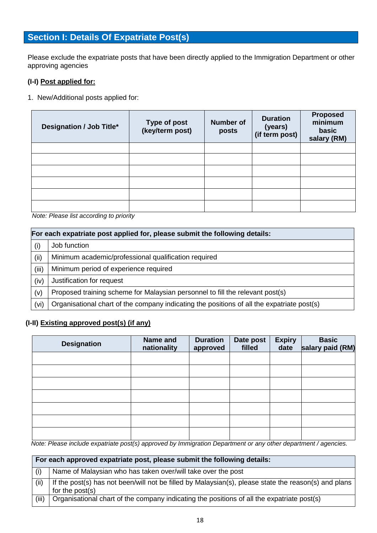## **Section I: Details Of Expatriate Post(s)**

Please exclude the expatriate posts that have been directly applied to the Immigration Department or other approving agencies

### **(I-I) Post applied for:**

1. New/Additional posts applied for:

| <b>Designation / Job Title*</b> | <b>Type of post</b><br>(key/term post) | <b>Number of</b><br>posts | <b>Duration</b><br>(years)<br>(if term post) | <b>Proposed</b><br>minimum<br>basic<br>salary (RM) |
|---------------------------------|----------------------------------------|---------------------------|----------------------------------------------|----------------------------------------------------|
|                                 |                                        |                           |                                              |                                                    |
|                                 |                                        |                           |                                              |                                                    |
|                                 |                                        |                           |                                              |                                                    |
|                                 |                                        |                           |                                              |                                                    |
|                                 |                                        |                           |                                              |                                                    |
|                                 |                                        |                           |                                              |                                                    |

*Note: Please list according to priority*

| For each expatriate post applied for, please submit the following details: |                                                                                            |  |  |  |
|----------------------------------------------------------------------------|--------------------------------------------------------------------------------------------|--|--|--|
| (i)                                                                        | Job function                                                                               |  |  |  |
| (ii)                                                                       | Minimum academic/professional qualification required                                       |  |  |  |
| (iii)                                                                      | Minimum period of experience required                                                      |  |  |  |
| (iv)                                                                       | Justification for request                                                                  |  |  |  |
| (v)                                                                        | Proposed training scheme for Malaysian personnel to fill the relevant post(s)              |  |  |  |
| (vi)                                                                       | Organisational chart of the company indicating the positions of all the expatriate post(s) |  |  |  |

### **(I-II) Existing approved post(s) (if any)**

| <b>Designation</b> | Name and<br>nationality | <b>Duration</b><br>approved | Date post<br>filled | <b>Expiry</b><br>date | <b>Basic</b><br>salary paid (RM) |
|--------------------|-------------------------|-----------------------------|---------------------|-----------------------|----------------------------------|
|                    |                         |                             |                     |                       |                                  |
|                    |                         |                             |                     |                       |                                  |
|                    |                         |                             |                     |                       |                                  |
|                    |                         |                             |                     |                       |                                  |
|                    |                         |                             |                     |                       |                                  |
|                    |                         |                             |                     |                       |                                  |
|                    |                         |                             |                     |                       |                                  |

 *Note: Please include expatriate post(s) approved by Immigration Department or any other department / agencies.*

| For each approved expatriate post, please submit the following details: |                                                                                                                         |  |  |  |
|-------------------------------------------------------------------------|-------------------------------------------------------------------------------------------------------------------------|--|--|--|
| (i)                                                                     | Name of Malaysian who has taken over/will take over the post                                                            |  |  |  |
| (ii)                                                                    | If the post(s) has not been/will not be filled by Malaysian(s), please state the reason(s) and plans<br>for the post(s) |  |  |  |
| (iii)                                                                   | Organisational chart of the company indicating the positions of all the expatriate post(s)                              |  |  |  |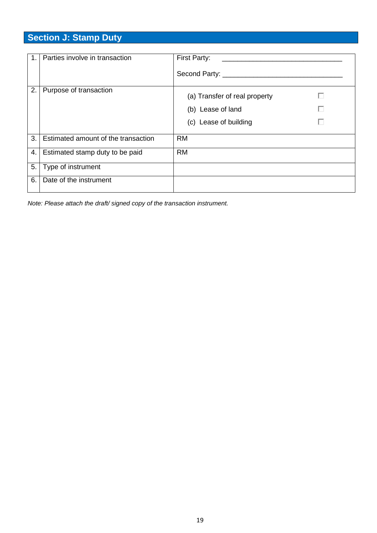# **Section J: Stamp Duty**

| $\mathbf{1}$ . | Parties involve in transaction      | First Party:                  |
|----------------|-------------------------------------|-------------------------------|
|                |                                     | Second Party: _______         |
| 2.             | Purpose of transaction              | (a) Transfer of real property |
|                |                                     | (b) Lease of land             |
|                |                                     | (c) Lease of building         |
| 3.             | Estimated amount of the transaction | <b>RM</b>                     |
| 4.             | Estimated stamp duty to be paid     | <b>RM</b>                     |
| 5.             | Type of instrument                  |                               |
| 6.             | Date of the instrument              |                               |

*Note: Please attach the draft/ signed copy of the transaction instrument.*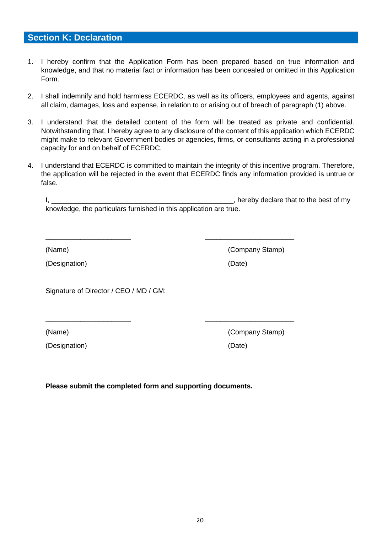### **Section K: Declaration**

- 1. I hereby confirm that the Application Form has been prepared based on true information and knowledge, and that no material fact or information has been concealed or omitted in this Application Form.
- 2. I shall indemnify and hold harmless ECERDC, as well as its officers, employees and agents, against all claim, damages, loss and expense, in relation to or arising out of breach of paragraph (1) above.
- 3. I understand that the detailed content of the form will be treated as private and confidential. Notwithstanding that, I hereby agree to any disclosure of the content of this application which ECERDC might make to relevant Government bodies or agencies, firms, or consultants acting in a professional capacity for and on behalf of ECERDC.
- 4. I understand that ECERDC is committed to maintain the integrity of this incentive program. Therefore, the application will be rejected in the event that ECERDC finds any information provided is untrue or false.

I, \_\_\_\_\_\_\_\_\_\_\_\_\_\_\_\_\_\_\_\_\_\_\_\_\_\_\_\_\_\_\_\_\_\_\_\_\_\_\_\_\_\_\_\_\_\_\_, hereby declare that to the best of my knowledge, the particulars furnished in this application are true.

\_\_\_\_\_\_\_\_\_\_\_\_\_\_\_\_\_\_\_\_\_\_ \_\_\_\_\_\_\_\_\_\_\_\_\_\_\_\_\_\_\_\_\_\_\_

\_\_\_\_\_\_\_\_\_\_\_\_\_\_\_\_\_\_\_\_\_\_ \_\_\_\_\_\_\_\_\_\_\_\_\_\_\_\_\_\_\_\_\_\_\_

(Designation) (Date)

(Name) (Company Stamp)

Signature of Director / CEO / MD / GM:

(Designation) (Date)

(Name) (Company Stamp)

**Please submit the completed form and supporting documents.**